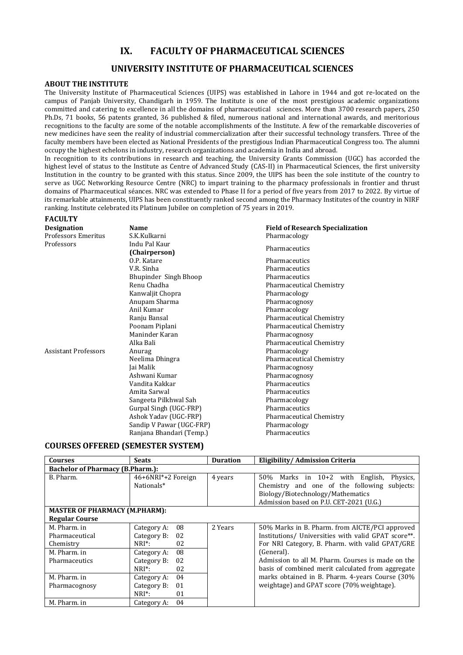# **IX. FACULTY OF PHARMACEUTICAL SCIENCES**

# **UNIVERSITY INSTITUTE OF PHARMACEUTICAL SCIENCES**

### **ABOUT THE INSTITUTE**

**FACULTY**

The University Institute of Pharmaceutical Sciences (UIPS) was established in Lahore in 1944 and got re-located on the campus of Panjab University, Chandigarh in 1959. The Institute is one of the most prestigious academic organizations committed and catering to excellence in all the domains of pharmaceutical sciences. More than 3700 research papers, 250 Ph.Ds, 71 books, 56 patents granted, 36 published & filed, numerous national and international awards, and meritorious recognitions to the faculty are some of the notable accomplishments of the Institute. A few of the remarkable discoveries of new medicines have seen the reality of industrial commercialization after their successful technology transfers. Three of the faculty members have been elected as National Presidents of the prestigious Indian Pharmaceutical Congress too. The alumni occupy the highest echelons in industry, research organizations and academia in India and abroad.

In recognition to its contributions in research and teaching, the University Grants Commission (UGC) has accorded the highest level of status to the Institute as Centre of Advanced Study (CAS-II) in Pharmaceutical Sciences, the first university Institution in the country to be granted with this status. Since 2009, the UIPS has been the sole institute of the country to serve as UGC Networking Resource Centre (NRC) to impart training to the pharmacy professionals in frontier and thrust domains of Pharmaceutical séances. NRC was extended to Phase II for a period of five years from 2017 to 2022. By virtue of its remarkable attainments, UIPS has been constituently ranked second among the Pharmacy Institutes of the country in NIRF ranking. Institute celebrated its Platinum Jubilee on completion of 75 years in 2019.

| <b>Designation</b>          | <b>Name</b>                    | <b>Field of Research Specialization</b> |
|-----------------------------|--------------------------------|-----------------------------------------|
| <b>Professors Emeritus</b>  | S.K.Kulkarni                   | Pharmacology                            |
| Professors                  | Indu Pal Kaur<br>(Chairperson) | Pharmaceutics                           |
|                             | O.P. Katare                    | Pharmaceutics                           |
|                             | V.R. Sinha                     | Pharmaceutics                           |
|                             | Bhupinder Singh Bhoop          | Pharmaceutics                           |
|                             | Renu Chadha                    | Pharmaceutical Chemistry                |
|                             | Kanwaljit Chopra               | Pharmacology                            |
|                             | Anupam Sharma                  | Pharmacognosy                           |
|                             | Anil Kumar                     | Pharmacology                            |
|                             | Ranju Bansal                   | <b>Pharmaceutical Chemistry</b>         |
|                             | Poonam Piplani                 | <b>Pharmaceutical Chemistry</b>         |
|                             | Maninder Karan                 | Pharmacognosy                           |
|                             | Alka Bali                      | Pharmaceutical Chemistry                |
| <b>Assistant Professors</b> | Anurag                         | Pharmacology                            |
|                             | Neelima Dhingra                | <b>Pharmaceutical Chemistry</b>         |
|                             | Jai Malik                      | Pharmacognosy                           |
|                             | Ashwani Kumar                  | Pharmacognosy                           |
|                             | Vandita Kakkar                 | Pharmaceutics                           |
|                             | Amita Sarwal                   | Pharmaceutics                           |
|                             | Sangeeta Pilkhwal Sah          | Pharmacology                            |
|                             | Gurpal Singh (UGC-FRP)         | Pharmaceutics                           |
|                             | Ashok Yaday (UGC-FRP)          | Pharmaceutical Chemistry                |
|                             | Sandip V Pawar (UGC-FRP)       | Pharmacology                            |
|                             | Ranjana Bhandari (Temp.)       | Pharmaceutics                           |

## **COURSES OFFERED (SEMESTER SYSTEM)**

| <b>Courses</b>                          | <b>Seats</b>       | <b>Duration</b> | Eligibility/Admission Criteria                      |
|-----------------------------------------|--------------------|-----------------|-----------------------------------------------------|
| <b>Bachelor of Pharmacy (B.Pharm.):</b> |                    |                 |                                                     |
| B. Pharm.                               | 46+6NRI*+2 Foreign | 4 years         | $50\%$ Marks in $10+2$ with English,<br>Physics,    |
|                                         | Nationals*         |                 | Chemistry and one of the following<br>subjects:     |
|                                         |                    |                 | Biology/Biotechnology/Mathematics                   |
|                                         |                    |                 | Admission based on P.U. CET-2021 (U.G.)             |
| <b>MASTER OF PHARMACY (M.PHARM):</b>    |                    |                 |                                                     |
| <b>Regular Course</b>                   |                    |                 |                                                     |
| M. Pharm. in                            | 08<br>Category A:  | 2 Years         | 50% Marks in B. Pharm. from AICTE/PCI approved      |
| Pharmaceutical                          | Category B:<br>02  |                 | Institutions/ Universities with valid GPAT score**. |
| Chemistry                               | 02<br>$NRI^*$ :    |                 | For NRI Category, B. Pharm. with valid GPAT/GRE     |
| M. Pharm. in                            | 08<br>Category A:  |                 | (General).                                          |
| Pharmaceutics                           | Category B:<br>02  |                 | Admission to all M. Pharm. Courses is made on the   |
|                                         | $NRI^*$ :<br>02    |                 | basis of combined merit calculated from aggregate   |
| M. Pharm. in                            | 04<br>Category A:  |                 | marks obtained in B. Pharm. 4-years Course (30%     |
| Pharmacognosy                           | Category B:<br>01  |                 | weightage) and GPAT score (70% weightage).          |
|                                         | $NRI^*$ :<br>01    |                 |                                                     |
| M. Pharm. in                            | 04<br>Category A:  |                 |                                                     |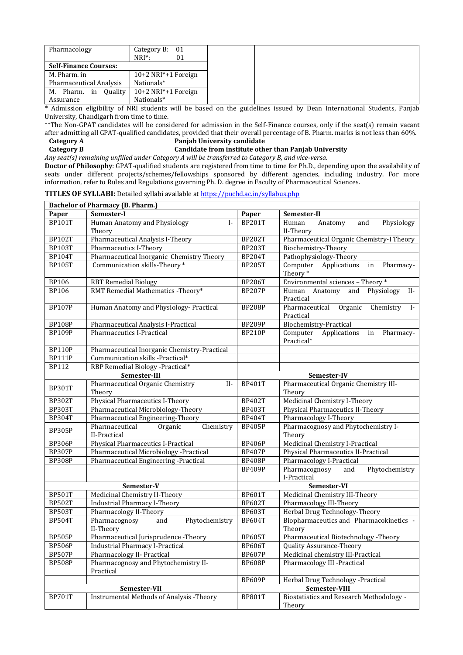| Pharmacology                 | Category B: $01$                   |
|------------------------------|------------------------------------|
|                              | $NRI^*$ :<br>01                    |
| <b>Self-Finance Courses:</b> |                                    |
| M. Pharm. in                 | $10+2$ NRI $*+1$ Foreign           |
| Pharmaceutical Analysis      | Nationals*                         |
| Ouality<br>M. Pharm. in      | $10+2$ NRI <sup>*</sup> +1 Foreign |
| Assurance                    | Nationals*                         |

**\*** Admission eligibility of NRI students will be based on the guidelines issued by Dean International Students, Panjab University, Chandigarh from time to time.

\*\*The Non-GPAT candidates will be considered for admission in the Self-Finance courses, only if the seat(s) remain vacant after admitting all GPAT-qualified candidates, provided that their overall percentage of B. Pharm. marks is not less than 60%.<br>Category A **Panjab University candidate** 

**Category A Panjab University candidate**<br> **Category B Candidate from institute otherwise** 

#### **Candidate from institute other than Panjab University** *Any seat(s) remaining unfilled under Category A will be transferred to Category B, and vice-versa.*

**Doctor of Philosophy**: GPAT-qualified students are registered from time to time for Ph.D., depending upon the availability of seats under different projects/schemes/fellowships sponsored by different agencies, including industry. For more information, refer to Rules and Regulations governing Ph. D. degree in Faculty of Pharmaceutical Sciences.

**TITLES OF SYLLABI:** Detailed syllabi available at <https://puchd.ac.in/syllabus.php>

| <b>Bachelor of Pharmacy (B. Pharm.)</b> |                                                          |               |                                                                     |
|-----------------------------------------|----------------------------------------------------------|---------------|---------------------------------------------------------------------|
| Paper                                   | Semester-I                                               | Paper         | Semester-II                                                         |
| <b>BP101T</b>                           | Human Anatomy and Physiology<br>$\mathbf{I}$ -<br>Theory | <b>BP201T</b> | and<br>Physiology<br>Human<br>Anatomy<br>II-Theory                  |
| <b>BP102T</b>                           | Pharmaceutical Analysis I-Theory                         | <b>BP202T</b> | Pharmaceutical Organic Chemistry-I Theory                           |
| <b>BP103T</b>                           | Pharmaceutics I-Theory                                   | <b>BP203T</b> | Biochemistry-Theory                                                 |
| <b>BP104T</b>                           | Pharmaceutical Inorganic Chemistry Theory                | <b>BP204T</b> | Pathophysiology-Theory                                              |
| <b>BP105T</b>                           | Communication skills-Theory *                            | <b>BP205T</b> | Computer<br>Applications in<br>Pharmacy-<br>Theory*                 |
| <b>BP106</b>                            | <b>RBT Remedial Biology</b>                              | <b>BP206T</b> | Environmental sciences - Theory *                                   |
| <b>BP106</b>                            | RMT Remedial Mathematics -Theory*                        | <b>BP207P</b> | Human Anatomy and Physiology<br>$II-$<br>Practical                  |
| <b>BP107P</b>                           | Human Anatomy and Physiology- Practical                  | <b>BP208P</b> | Organic<br>Chemistry<br>Pharmaceutical<br>$\mathbf{I}$<br>Practical |
| <b>BP108P</b>                           | Pharmaceutical Analysis I-Practical                      | <b>BP209P</b> | Biochemistry-Practical                                              |
| <b>BP109P</b>                           | <b>Pharmaceutics I-Practical</b>                         | <b>BP210P</b> | Computer<br>Applications<br>Pharmacy-<br>in<br>Practical*           |
| <b>BP110P</b>                           | Pharmaceutical Inorganic Chemistry-Practical             |               |                                                                     |
| <b>BP111P</b>                           | Communication skills -Practical*                         |               |                                                                     |
| <b>BP112</b>                            | RBP Remedial Biology -Practical*                         |               |                                                                     |
|                                         | Semester-III                                             |               | Semester-IV                                                         |
| <b>BP301T</b>                           | Pharmaceutical Organic Chemistry<br>$II-$<br>Theory      | <b>BP401T</b> | Pharmaceutical Organic Chemistry III-<br>Theory                     |
| <b>BP302T</b>                           | Physical Pharmaceutics I-Theory                          | <b>BP402T</b> | Medicinal Chemistry I-Theory                                        |
| <b>BP303T</b>                           | Pharmaceutical Microbiology-Theory                       | <b>BP403T</b> | <b>Physical Pharmaceutics II-Theory</b>                             |
| <b>BP304T</b>                           | Pharmaceutical Engineering-Theory                        | <b>BP404T</b> | Pharmacology I-Theory                                               |
| <b>BP305P</b>                           | Pharmaceutical<br>Organic<br>Chemistry<br>II-Practical   | <b>BP405P</b> | Pharmacognosy and Phytochemistry I-<br>Theory                       |
| <b>BP306P</b>                           | Physical Pharmaceutics I-Practical                       | <b>BP406P</b> | Medicinal Chemistry I-Practical                                     |
| <b>BP307P</b>                           | Pharmaceutical Microbiology -Practical                   | <b>BP407P</b> | Physical Pharmaceutics II-Practical                                 |
| <b>BP308P</b>                           | Pharmaceutical Engineering -Practical                    | <b>BP408P</b> | Pharmacology I-Practical                                            |
|                                         |                                                          | <b>BP409P</b> | Pharmacognosy<br>Phytochemistry<br>and<br>I-Practical               |
|                                         | Semester-V                                               |               | Semester-VI                                                         |
| <b>BP501T</b>                           | Medicinal Chemistry II-Theory                            | <b>BP601T</b> | Medicinal Chemistry III-Theory                                      |
| <b>BP502T</b>                           | <b>Industrial Pharmacy I-Theory</b>                      | <b>BP602T</b> | Pharmacology III-Theory                                             |
| <b>BP503T</b>                           | Pharmacology II-Theory                                   | <b>BP603T</b> | Herbal Drug Technology-Theory                                       |
| <b>BP504T</b>                           | Pharmacognosy<br>Phytochemistry<br>and<br>II-Theory      | <b>BP604T</b> | Biopharmaceutics and Pharmacokinetics -<br>Theory                   |
| <b>BP505P</b>                           | Pharmaceutical Jurisprudence - Theory                    | <b>BP605T</b> | Pharmaceutical Biotechnology -Theory                                |
| <b>BP506P</b>                           | <b>Industrial Pharmacy I-Practical</b>                   | <b>BP606T</b> | <b>Quality Assurance-Theory</b>                                     |
| <b>BP507P</b>                           | Pharmacology II- Practical                               | <b>BP607P</b> | Medicinal chemistry III-Practical                                   |
| <b>BP508P</b>                           | Pharmacognosy and Phytochemistry II-<br>Practical        | <b>BP608P</b> | Pharmacology III -Practical                                         |
|                                         |                                                          | <b>BP609P</b> | Herbal Drug Technology -Practical                                   |
| Semester-VII                            |                                                          |               | Semester-VIII                                                       |
| BP701T                                  | Instrumental Methods of Analysis -Theory                 | <b>BP801T</b> | <b>Biostatistics and Research Methodology -</b><br>Theory           |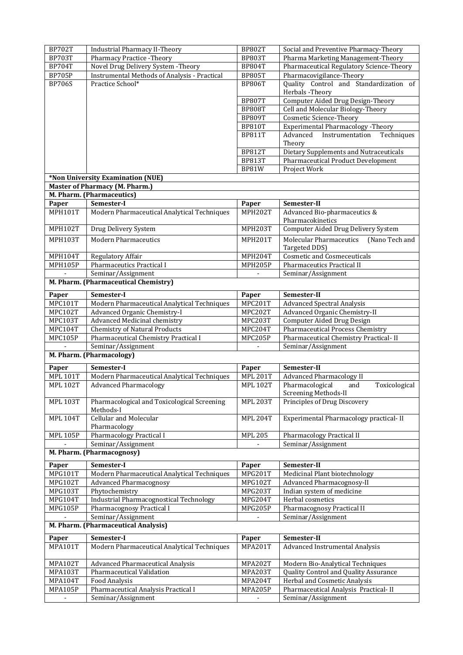| <b>BP702T</b>   | <b>Industrial Pharmacy II-Theory</b>                     | <b>BP802T</b>   | Social and Preventive Pharmacy-Theory            |  |
|-----------------|----------------------------------------------------------|-----------------|--------------------------------------------------|--|
| <b>BP703T</b>   | Pharmacy Practice - Theory                               | <b>BP803T</b>   | Pharma Marketing Management-Theory               |  |
| <b>BP704T</b>   | Novel Drug Delivery System - Theory                      | <b>BP804T</b>   | Pharmaceutical Regulatory Science-Theory         |  |
| <b>BP705P</b>   | Instrumental Methods of Analysis - Practical             | <b>BP805T</b>   | Pharmacovigilance-Theory                         |  |
| <b>BP706S</b>   | Practice School*                                         | <b>BP806T</b>   | Quality Control and Standardization of           |  |
|                 |                                                          |                 | Herbals - Theory                                 |  |
|                 |                                                          | <b>BP807T</b>   | Computer Aided Drug Design-Theory                |  |
|                 |                                                          | <b>BP808T</b>   | Cell and Molecular Biology-Theory                |  |
|                 |                                                          | <b>BP809T</b>   | <b>Cosmetic Science-Theory</b>                   |  |
|                 |                                                          | <b>BP810T</b>   | <b>Experimental Pharmacology - Theory</b>        |  |
|                 |                                                          | <b>BP811T</b>   | Instrumentation Techniques<br>Advanced           |  |
|                 |                                                          |                 | Theory                                           |  |
|                 |                                                          | <b>BP812T</b>   | Dietary Supplements and Nutraceuticals           |  |
|                 |                                                          | <b>BP813T</b>   | Pharmaceutical Product Development               |  |
|                 |                                                          | BP81W           | Project Work                                     |  |
|                 | *Non University Examination (NUE)                        |                 |                                                  |  |
|                 | <b>Master of Pharmacy (M. Pharm.)</b>                    |                 |                                                  |  |
|                 | M. Pharm. (Pharmaceutics)                                |                 |                                                  |  |
| Paper           | Semester-I                                               | Paper           | Semester-II                                      |  |
| <b>MPH101T</b>  | Modern Pharmaceutical Analytical Techniques              | MPH202T         | Advanced Bio-pharmaceutics &                     |  |
|                 |                                                          |                 | Pharmacokinetics                                 |  |
| <b>MPH102T</b>  | Drug Delivery System                                     | MPH203T         | Computer Aided Drug Delivery System              |  |
| <b>MPH103T</b>  | <b>Modern Pharmaceutics</b>                              | MPH201T         | <b>Molecular Pharmaceutics</b><br>(Nano Tech and |  |
|                 |                                                          |                 | Targeted DDS)                                    |  |
| <b>MPH104T</b>  | Regulatory Affair                                        | MPH204T         | <b>Cosmetic and Cosmeceuticals</b>               |  |
| MPH105P         | Pharmaceutics Practical I                                | MPH205P         | Pharmaceutics Practical II                       |  |
|                 | Seminar/Assignment                                       |                 | Seminar/Assignment                               |  |
|                 | M. Pharm. (Pharmaceutical Chemistry)                     |                 |                                                  |  |
| Paper           | Semester-I                                               | Paper           | Semester-II                                      |  |
| MPC101T         | Modern Pharmaceutical Analytical Techniques              | MPC201T         | <b>Advanced Spectral Analysis</b>                |  |
| MPC102T         | Advanced Organic Chemistry-I                             | MPC202T         | Advanced Organic Chemistry-II                    |  |
| MPC103T         | Advanced Medicinal chemistry                             | MPC203T         | Computer Aided Drug Design                       |  |
| MPC104T         | <b>Chemistry of Natural Products</b>                     | MPC204T         | <b>Pharmaceutical Process Chemistry</b>          |  |
| MPC105P         | Pharmaceutical Chemistry Practical I                     | MPC205P         | Pharmaceutical Chemistry Practical- II           |  |
|                 | Seminar/Assignment                                       |                 | Seminar/Assignment                               |  |
|                 | M. Pharm. (Pharmacology)                                 |                 |                                                  |  |
| Paper           | Semester-I                                               | Paper           | Semester-II                                      |  |
| <b>MPL 101T</b> | Modern Pharmaceutical Analytical Techniques              | <b>MPL 201T</b> | <b>Advanced Pharmacology II</b>                  |  |
| <b>MPL 102T</b> | <b>Advanced Pharmacology</b>                             | <b>MPL 102T</b> | Pharmacological<br>Toxicological<br>and          |  |
|                 |                                                          |                 | Screening Methods-II                             |  |
| <b>MPL 103T</b> | Pharmacological and Toxicological Screening<br>Methods-I | <b>MPL 203T</b> | Principles of Drug Discovery                     |  |
| <b>MPL 104T</b> | <b>Cellular and Molecular</b>                            | <b>MPL 204T</b> | Experimental Pharmacology practical- II          |  |
|                 | Pharmacology                                             |                 |                                                  |  |
| <b>MPL 105P</b> | Pharmacology Practical I                                 | <b>MPL 205</b>  | Pharmacology Practical II                        |  |
|                 | Seminar/Assignment                                       |                 | Seminar/Assignment                               |  |
|                 | M. Pharm. (Pharmacognosy)                                |                 |                                                  |  |
| Paper           | Semester-I                                               | Paper           | Semester-II                                      |  |
| MPG101T         | Modern Pharmaceutical Analytical Techniques              | MPG201T         | Medicinal Plant biotechnology                    |  |
| MPG102T         | <b>Advanced Pharmacognosy</b>                            | MPG102T         | Advanced Pharmacognosy-II                        |  |
| MPG103T         | Phytochemistry                                           | MPG203T         | Indian system of medicine                        |  |
| MPG104T         | <b>Industrial Pharmacognostical Technology</b>           | MPG204T         | Herbal cosmetics                                 |  |
| MPG105P         | Pharmacognosy Practical I                                | MPG205P         | Pharmacognosy Practical II                       |  |
|                 | Seminar/Assignment                                       |                 | Seminar/Assignment                               |  |
|                 | M. Pharm. (Pharmaceutical Analysis)                      |                 |                                                  |  |
|                 |                                                          |                 |                                                  |  |
| Paper           | Semester-I                                               | Paper           | Semester-II                                      |  |
| <b>MPA101T</b>  | Modern Pharmaceutical Analytical Techniques              | MPA201T         | Advanced Instrumental Analysis                   |  |
| MPA102T         | <b>Advanced Pharmaceutical Analysis</b>                  | MPA202T         | Modern Bio-Analytical Techniques                 |  |
| <b>MPA103T</b>  | Pharmaceutical Validation                                | MPA203T         | Quality Control and Quality Assurance            |  |
| MPA104T         | <b>Food Analysis</b>                                     | MPA204T         | Herbal and Cosmetic Analysis                     |  |
| MPA105P         | Pharmaceutical Analysis Practical I                      | MPA205P         | Pharmaceutical Analysis Practical-II             |  |
|                 | Seminar/Assignment                                       |                 | Seminar/Assignment                               |  |